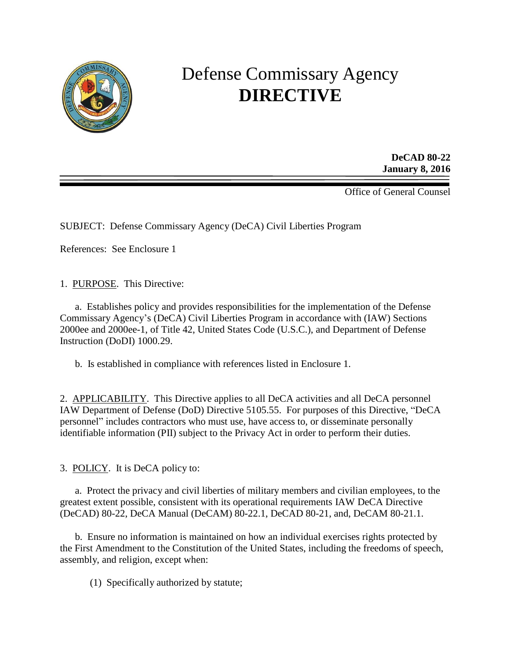

# Defense Commissary Agency **DIRECTIVE**

**DeCAD 80-22 January 8, 2016**

Office of General Counsel

SUBJECT: Defense Commissary Agency (DeCA) Civil Liberties Program

References: See Enclosure 1

1. PURPOSE. This Directive:

a. Establishes policy and provides responsibilities for the implementation of the Defense Commissary Agency's (DeCA) Civil Liberties Program in accordance with (IAW) Sections 2000ee and 2000ee-1, of Title 42, United States Code (U.S.C.), and Department of Defense Instruction (DoDI) 1000.29.

b. Is established in compliance with references listed in Enclosure 1.

2. APPLICABILITY. This Directive applies to all DeCA activities and all DeCA personnel IAW Department of Defense (DoD) Directive 5105.55. For purposes of this Directive, "DeCA personnel" includes contractors who must use, have access to, or disseminate personally identifiable information (PII) subject to the Privacy Act in order to perform their duties.

3. POLICY. It is DeCA policy to:

a. Protect the privacy and civil liberties of military members and civilian employees, to the greatest extent possible, consistent with its operational requirements IAW DeCA Directive (DeCAD) 80-22, DeCA Manual (DeCAM) 80-22.1, DeCAD 80-21, and, DeCAM 80-21.1.

b. Ensure no information is maintained on how an individual exercises rights protected by the First Amendment to the Constitution of the United States, including the freedoms of speech, assembly, and religion, except when:

(1) Specifically authorized by statute;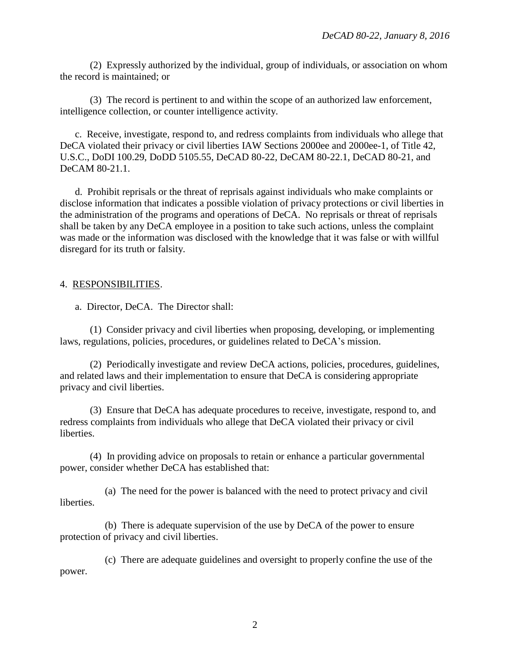(2) Expressly authorized by the individual, group of individuals, or association on whom the record is maintained; or

(3) The record is pertinent to and within the scope of an authorized law enforcement, intelligence collection, or counter intelligence activity.

c. Receive, investigate, respond to, and redress complaints from individuals who allege that DeCA violated their privacy or civil liberties IAW Sections 2000ee and 2000ee-1, of Title 42, U.S.C., DoDI 100.29, DoDD 5105.55, DeCAD 80-22, DeCAM 80-22.1, DeCAD 80-21, and DeCAM 80-21.1.

d. Prohibit reprisals or the threat of reprisals against individuals who make complaints or disclose information that indicates a possible violation of privacy protections or civil liberties in the administration of the programs and operations of DeCA. No reprisals or threat of reprisals shall be taken by any DeCA employee in a position to take such actions, unless the complaint was made or the information was disclosed with the knowledge that it was false or with willful disregard for its truth or falsity.

## 4. RESPONSIBILITIES.

a. Director, DeCA. The Director shall:

(1) Consider privacy and civil liberties when proposing, developing, or implementing laws, regulations, policies, procedures, or guidelines related to DeCA's mission.

(2) Periodically investigate and review DeCA actions, policies, procedures, guidelines, and related laws and their implementation to ensure that DeCA is considering appropriate privacy and civil liberties.

(3) Ensure that DeCA has adequate procedures to receive, investigate, respond to, and redress complaints from individuals who allege that DeCA violated their privacy or civil **liberties** 

(4) In providing advice on proposals to retain or enhance a particular governmental power, consider whether DeCA has established that:

liberties. (a) The need for the power is balanced with the need to protect privacy and civil

(b) There is adequate supervision of the use by DeCA of the power to ensure protection of privacy and civil liberties.

power. (c) There are adequate guidelines and oversight to properly confine the use of the

2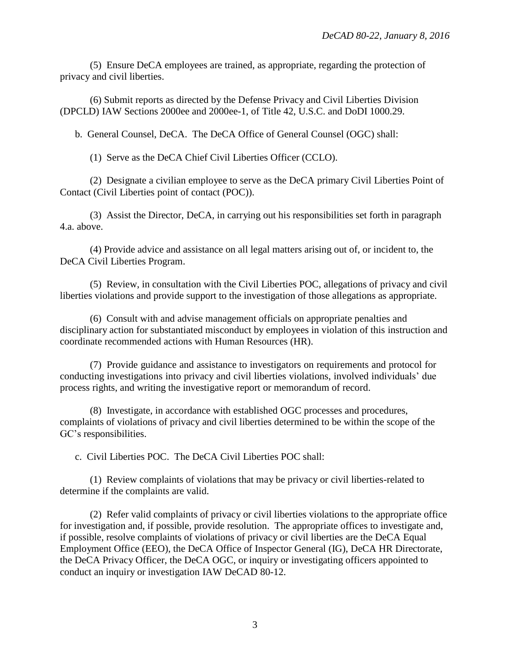(5) Ensure DeCA employees are trained, as appropriate, regarding the protection of privacy and civil liberties.

(6) Submit reports as directed by the Defense Privacy and Civil Liberties Division (DPCLD) IAW Sections 2000ee and 2000ee-1, of Title 42, U.S.C. and DoDI 1000.29.

b. General Counsel, DeCA. The DeCA Office of General Counsel (OGC) shall:

(1) Serve as the DeCA Chief Civil Liberties Officer (CCLO).

(2) Designate a civilian employee to serve as the DeCA primary Civil Liberties Point of Contact (Civil Liberties point of contact (POC)).

(3) Assist the Director, DeCA, in carrying out his responsibilities set forth in paragraph 4.a. above.

(4) Provide advice and assistance on all legal matters arising out of, or incident to, the DeCA Civil Liberties Program.

(5) Review, in consultation with the Civil Liberties POC, allegations of privacy and civil liberties violations and provide support to the investigation of those allegations as appropriate.

(6) Consult with and advise management officials on appropriate penalties and disciplinary action for substantiated misconduct by employees in violation of this instruction and coordinate recommended actions with Human Resources (HR).

(7) Provide guidance and assistance to investigators on requirements and protocol for conducting investigations into privacy and civil liberties violations, involved individuals' due process rights, and writing the investigative report or memorandum of record.

(8) Investigate, in accordance with established OGC processes and procedures, complaints of violations of privacy and civil liberties determined to be within the scope of the GC's responsibilities.

c. Civil Liberties POC. The DeCA Civil Liberties POC shall:

(1) Review complaints of violations that may be privacy or civil liberties-related to determine if the complaints are valid.

(2) Refer valid complaints of privacy or civil liberties violations to the appropriate office for investigation and, if possible, provide resolution. The appropriate offices to investigate and, if possible, resolve complaints of violations of privacy or civil liberties are the DeCA Equal Employment Office (EEO), the DeCA Office of Inspector General (IG), DeCA HR Directorate, the DeCA Privacy Officer, the DeCA OGC, or inquiry or investigating officers appointed to conduct an inquiry or investigation IAW DeCAD 80-12.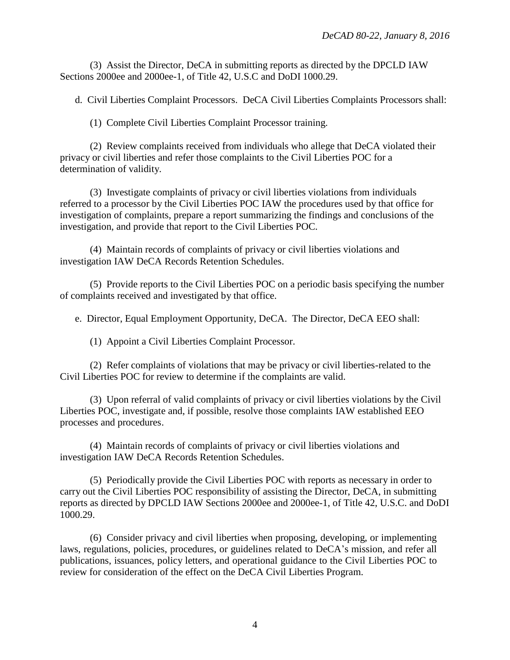(3) Assist the Director, DeCA in submitting reports as directed by the DPCLD IAW Sections 2000ee and 2000ee-1, of Title 42, U.S.C and DoDI 1000.29.

d. Civil Liberties Complaint Processors. DeCA Civil Liberties Complaints Processors shall:

(1) Complete Civil Liberties Complaint Processor training.

(2) Review complaints received from individuals who allege that DeCA violated their privacy or civil liberties and refer those complaints to the Civil Liberties POC for a determination of validity.

(3) Investigate complaints of privacy or civil liberties violations from individuals referred to a processor by the Civil Liberties POC IAW the procedures used by that office for investigation of complaints, prepare a report summarizing the findings and conclusions of the investigation, and provide that report to the Civil Liberties POC.

(4) Maintain records of complaints of privacy or civil liberties violations and investigation IAW DeCA Records Retention Schedules.

(5) Provide reports to the Civil Liberties POC on a periodic basis specifying the number of complaints received and investigated by that office.

e. Director, Equal Employment Opportunity, DeCA. The Director, DeCA EEO shall:

(1) Appoint a Civil Liberties Complaint Processor.

(2) Refer complaints of violations that may be privacy or civil liberties-related to the Civil Liberties POC for review to determine if the complaints are valid.

(3) Upon referral of valid complaints of privacy or civil liberties violations by the Civil Liberties POC, investigate and, if possible, resolve those complaints IAW established EEO processes and procedures.

(4) Maintain records of complaints of privacy or civil liberties violations and investigation IAW DeCA Records Retention Schedules.

(5) Periodically provide the Civil Liberties POC with reports as necessary in order to carry out the Civil Liberties POC responsibility of assisting the Director, DeCA, in submitting reports as directed by DPCLD IAW Sections 2000ee and 2000ee-1, of Title 42, U.S.C. and DoDI 1000.29.

(6) Consider privacy and civil liberties when proposing, developing, or implementing laws, regulations, policies, procedures, or guidelines related to DeCA's mission, and refer all publications, issuances, policy letters, and operational guidance to the Civil Liberties POC to review for consideration of the effect on the DeCA Civil Liberties Program.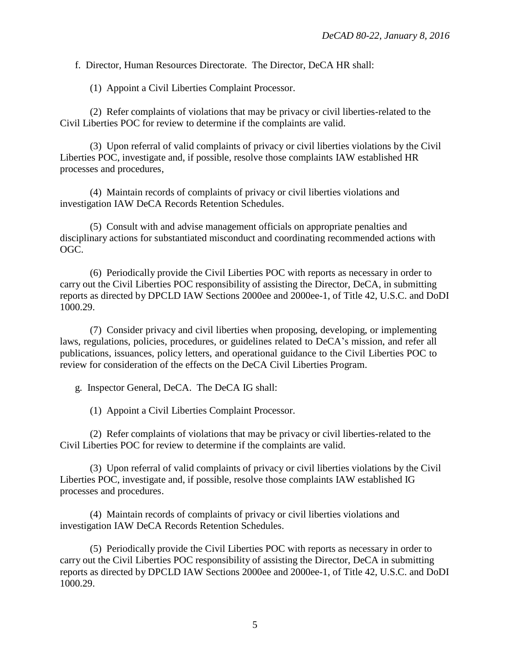f. Director, Human Resources Directorate. The Director, DeCA HR shall:

(1) Appoint a Civil Liberties Complaint Processor.

(2) Refer complaints of violations that may be privacy or civil liberties-related to the Civil Liberties POC for review to determine if the complaints are valid.

(3) Upon referral of valid complaints of privacy or civil liberties violations by the Civil Liberties POC, investigate and, if possible, resolve those complaints IAW established HR processes and procedures,

(4) Maintain records of complaints of privacy or civil liberties violations and investigation IAW DeCA Records Retention Schedules.

(5) Consult with and advise management officials on appropriate penalties and disciplinary actions for substantiated misconduct and coordinating recommended actions with OGC.

(6) Periodically provide the Civil Liberties POC with reports as necessary in order to carry out the Civil Liberties POC responsibility of assisting the Director, DeCA, in submitting reports as directed by DPCLD IAW Sections 2000ee and 2000ee-1, of Title 42, U.S.C. and DoDI 1000.29.

(7) Consider privacy and civil liberties when proposing, developing, or implementing laws, regulations, policies, procedures, or guidelines related to DeCA's mission, and refer all publications, issuances, policy letters, and operational guidance to the Civil Liberties POC to review for consideration of the effects on the DeCA Civil Liberties Program.

g. Inspector General, DeCA. The DeCA IG shall:

(1) Appoint a Civil Liberties Complaint Processor.

(2) Refer complaints of violations that may be privacy or civil liberties-related to the Civil Liberties POC for review to determine if the complaints are valid.

(3) Upon referral of valid complaints of privacy or civil liberties violations by the Civil Liberties POC, investigate and, if possible, resolve those complaints IAW established IG processes and procedures.

(4) Maintain records of complaints of privacy or civil liberties violations and investigation IAW DeCA Records Retention Schedules.

(5) Periodically provide the Civil Liberties POC with reports as necessary in order to carry out the Civil Liberties POC responsibility of assisting the Director, DeCA in submitting reports as directed by DPCLD IAW Sections 2000ee and 2000ee-1, of Title 42, U.S.C. and DoDI 1000.29.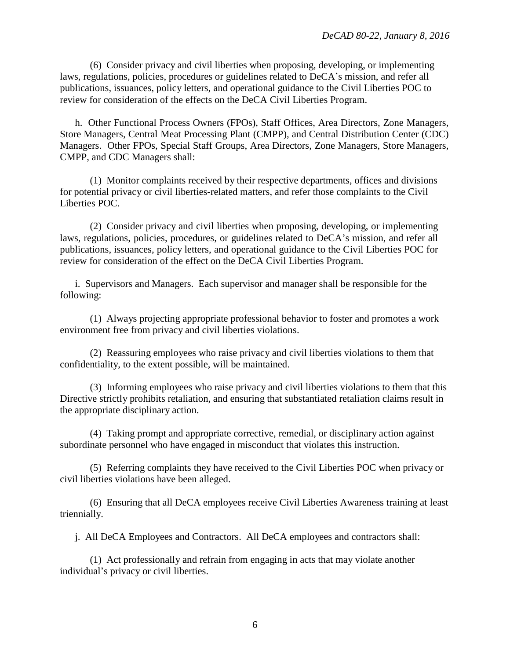(6) Consider privacy and civil liberties when proposing, developing, or implementing laws, regulations, policies, procedures or guidelines related to DeCA's mission, and refer all publications, issuances, policy letters, and operational guidance to the Civil Liberties POC to review for consideration of the effects on the DeCA Civil Liberties Program.

h. Other Functional Process Owners (FPOs), Staff Offices, Area Directors, Zone Managers, Store Managers, Central Meat Processing Plant (CMPP), and Central Distribution Center (CDC) Managers. Other FPOs, Special Staff Groups, Area Directors, Zone Managers, Store Managers, CMPP, and CDC Managers shall:

(1) Monitor complaints received by their respective departments, offices and divisions for potential privacy or civil liberties-related matters, and refer those complaints to the Civil Liberties POC.

(2) Consider privacy and civil liberties when proposing, developing, or implementing laws, regulations, policies, procedures, or guidelines related to DeCA's mission, and refer all publications, issuances, policy letters, and operational guidance to the Civil Liberties POC for review for consideration of the effect on the DeCA Civil Liberties Program.

i. Supervisors and Managers. Each supervisor and manager shall be responsible for the following:

(1) Always projecting appropriate professional behavior to foster and promotes a work environment free from privacy and civil liberties violations.

(2) Reassuring employees who raise privacy and civil liberties violations to them that confidentiality, to the extent possible, will be maintained.

(3) Informing employees who raise privacy and civil liberties violations to them that this Directive strictly prohibits retaliation, and ensuring that substantiated retaliation claims result in the appropriate disciplinary action.

(4) Taking prompt and appropriate corrective, remedial, or disciplinary action against subordinate personnel who have engaged in misconduct that violates this instruction.

(5) Referring complaints they have received to the Civil Liberties POC when privacy or civil liberties violations have been alleged.

(6) Ensuring that all DeCA employees receive Civil Liberties Awareness training at least triennially.

j. All DeCA Employees and Contractors. All DeCA employees and contractors shall:

(1) Act professionally and refrain from engaging in acts that may violate another individual's privacy or civil liberties.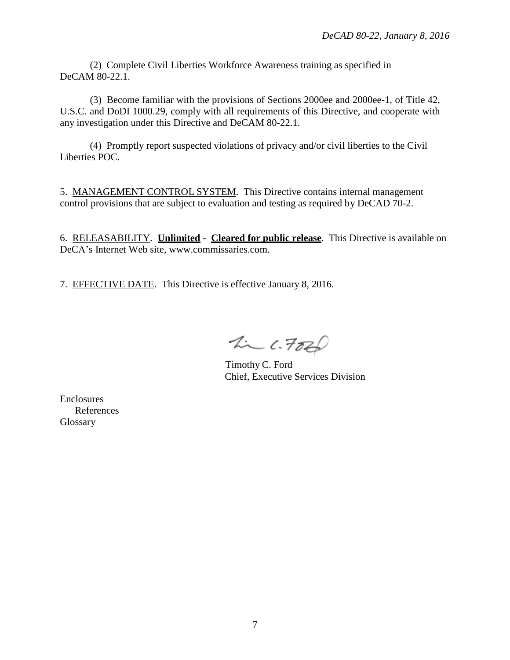(2) Complete Civil Liberties Workforce Awareness training as specified in DeCAM 80-22.1.

(3) Become familiar with the provisions of Sections 2000ee and 2000ee-1, of Title 42, U.S.C. and DoDI 1000.29, comply with all requirements of this Directive, and cooperate with any investigation under this Directive and DeCAM 80-22.1.

(4) Promptly report suspected violations of privacy and/or civil liberties to the Civil Liberties POC.

5. MANAGEMENT CONTROL SYSTEM. This Directive contains internal management control provisions that are subject to evaluation and testing as required by DeCAD 70-2.

6. RELEASABILITY. **Unlimited** - **Cleared for public release**. This Directive is available on DeCA's Internet Web site, [www.commissaries.com.](http://www.commissaries.com/)

7. EFFECTIVE DATE. This Directive is effective January 8, 2016.

 $2226$ 

Timothy C. Ford Chief, Executive Services Division

Enclosures References Glossary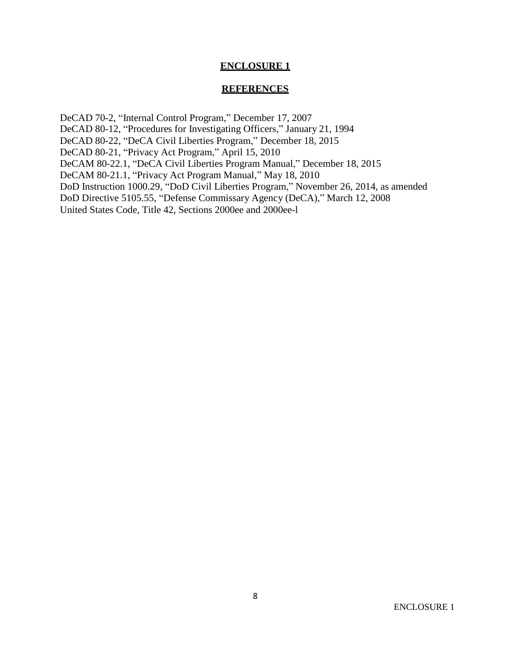### **ENCLOSURE 1**

#### **REFERENCES**

DeCAD 70-2, "Internal Control Program," December 17, 2007 DeCAD 80-12, "Procedures for Investigating Officers," January 21, 1994 DeCAD 80-22, "DeCA Civil Liberties Program," December 18, 2015 DeCAD 80-21, "Privacy Act Program," April 15, 2010 DeCAM 80-22.1, "DeCA Civil Liberties Program Manual," December 18, 2015 DeCAM 80-21.1, "Privacy Act Program Manual," May 18, 2010 DoD Instruction 1000.29, "DoD Civil Liberties Program," November 26, 2014, as amended DoD Directive 5105.55, "Defense Commissary Agency (DeCA)," March 12, 2008 United States Code, Title 42, Sections 2000ee and 2000ee-l